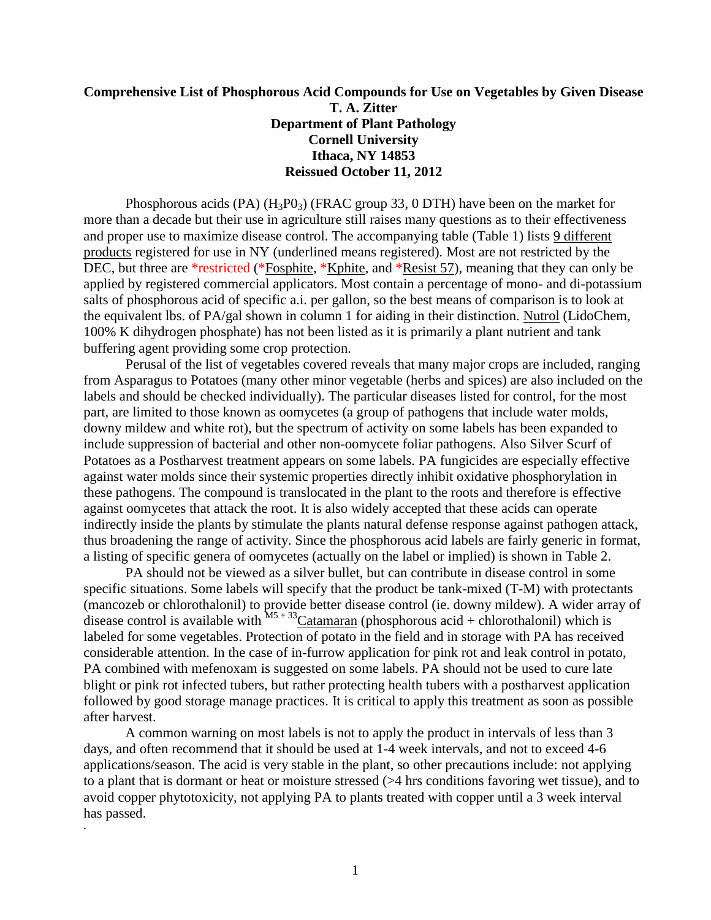## **Comprehensive List of Phosphorous Acid Compounds for Use on Vegetables by Given Disease T. A. Zitter Department of Plant Pathology Cornell University Ithaca, NY 14853 Reissued October 11, 2012**

Phosphorous acids (PA)  $(H_3P0_3)$  (FRAC group 33, 0 DTH) have been on the market for more than a decade but their use in agriculture still raises many questions as to their effectiveness and proper use to maximize disease control. The accompanying table (Table 1) lists 9 different products registered for use in NY (underlined means registered). Most are not restricted by the DEC, but three are \*restricted (\*Fosphite, \*Kphite, and \*Resist 57), meaning that they can only be applied by registered commercial applicators. Most contain a percentage of mono- and di-potassium salts of phosphorous acid of specific a.i. per gallon, so the best means of comparison is to look at the equivalent lbs. of PA/gal shown in column 1 for aiding in their distinction. Nutrol (LidoChem, 100% K dihydrogen phosphate) has not been listed as it is primarily a plant nutrient and tank buffering agent providing some crop protection.

Perusal of the list of vegetables covered reveals that many major crops are included, ranging from Asparagus to Potatoes (many other minor vegetable (herbs and spices) are also included on the labels and should be checked individually). The particular diseases listed for control, for the most part, are limited to those known as oomycetes (a group of pathogens that include water molds, downy mildew and white rot), but the spectrum of activity on some labels has been expanded to include suppression of bacterial and other non-oomycete foliar pathogens. Also Silver Scurf of Potatoes as a Postharvest treatment appears on some labels. PA fungicides are especially effective against water molds since their systemic properties directly inhibit oxidative phosphorylation in these pathogens. The compound is translocated in the plant to the roots and therefore is effective against oomycetes that attack the root. It is also widely accepted that these acids can operate indirectly inside the plants by stimulate the plants natural defense response against pathogen attack, thus broadening the range of activity. Since the phosphorous acid labels are fairly generic in format, a listing of specific genera of oomycetes (actually on the label or implied) is shown in Table 2.

PA should not be viewed as a silver bullet, but can contribute in disease control in some specific situations. Some labels will specify that the product be tank-mixed (T-M) with protectants (mancozeb or chlorothalonil) to provide better disease control (ie. downy mildew). A wider array of disease control is available with  $M5 + 33$ Catamaran (phosphorous acid + chlorothalonil) which is labeled for some vegetables. Protection of potato in the field and in storage with PA has received considerable attention. In the case of in-furrow application for pink rot and leak control in potato, PA combined with mefenoxam is suggested on some labels. PA should not be used to cure late blight or pink rot infected tubers, but rather protecting health tubers with a postharvest application followed by good storage manage practices. It is critical to apply this treatment as soon as possible after harvest.

A common warning on most labels is not to apply the product in intervals of less than 3 days, and often recommend that it should be used at 1-4 week intervals, and not to exceed 4-6 applications/season. The acid is very stable in the plant, so other precautions include: not applying to a plant that is dormant or heat or moisture stressed (>4 hrs conditions favoring wet tissue), and to avoid copper phytotoxicity, not applying PA to plants treated with copper until a 3 week interval has passed. **.**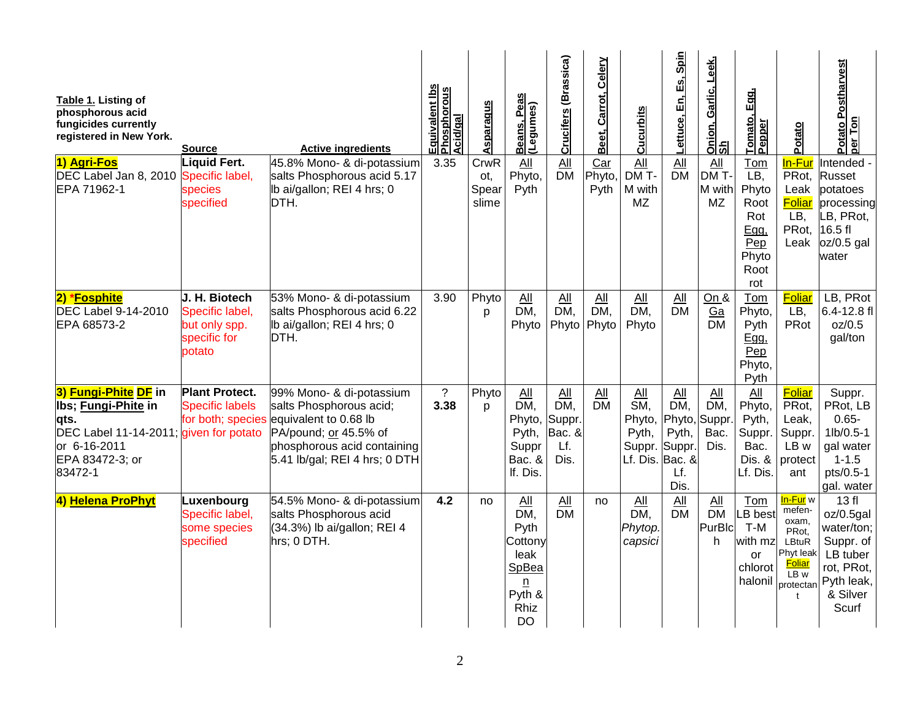| Table 1. Listing of<br>phosphorous acid<br>fungicides currently<br>registered in New York.<br>1) Agri-Fos                                    | <b>Source</b><br>Liquid Fert.                                               | <b>Active ingredients</b><br>45.8% Mono- & di-potassium                                                                                                               | Equivalent Ibs<br>Phosphorous<br>Acid/gal<br>3.35 | <b>Asparagus</b><br>CrwR | eas<br><u>Beans, Pea</u><br>(Legumes)<br>All                                | Crucifers (Brassica)<br>All                   | Celery<br>Carrot,<br>Beet,<br>Car | <b>Cucurbits</b><br>All                                                              | Lettuce, En, Es, Spin<br>All                 | <u>Onion, Garlic, Leek,</u><br>Sh<br>$\Delta$ ll | Egg,<br>Tomato,<br>Pepper<br>Tom                                   | Potato<br>In-Fur                                                                                                            | Postharvest<br>Potato P<br>per Ton<br>Intended -                                                         |
|----------------------------------------------------------------------------------------------------------------------------------------------|-----------------------------------------------------------------------------|-----------------------------------------------------------------------------------------------------------------------------------------------------------------------|---------------------------------------------------|--------------------------|-----------------------------------------------------------------------------|-----------------------------------------------|-----------------------------------|--------------------------------------------------------------------------------------|----------------------------------------------|--------------------------------------------------|--------------------------------------------------------------------|-----------------------------------------------------------------------------------------------------------------------------|----------------------------------------------------------------------------------------------------------|
| DEC Label Jan 8, 2010 Specific label,<br>EPA 71962-1                                                                                         | species<br>specified                                                        | salts Phosphorous acid 5.17<br>Ib ai/gallon; REI 4 hrs; 0<br>DTH.                                                                                                     |                                                   | ot,<br>Spear<br>slime    | Phyto,<br>Pyth                                                              | <b>DM</b>                                     | Phyto,<br>Pyth                    | DM T-<br>M with<br><b>MZ</b>                                                         | <b>DM</b>                                    | DMT<br>M with<br><b>MZ</b>                       | LB,<br>Phyto<br>Root<br>Rot<br>Egg,<br>Pep<br>Phyto<br>Root<br>rot | PRot,<br>Leak<br><b>Foliar</b><br>LB,<br>PRot.<br>Leak                                                                      | Russet<br>potatoes<br>processing<br>LB, PRot,<br>16.5 fl<br>$oz/0.5$ gal<br>water                        |
| 2) *Fosphite<br><b>DEC Label 9-14-2010</b><br>EPA 68573-2                                                                                    | J. H. Biotech<br>Specific label,<br>but only spp.<br>specific for<br>potato | 53% Mono- & di-potassium<br>salts Phosphorous acid 6.22<br>Ib ai/gallon; REI 4 hrs; 0<br>DTH.                                                                         | 3.90                                              | Phyto<br>p               | All<br>DM,<br>Phyto                                                         | All<br>DM,<br>Phyto                           | AII<br>DM.<br>Phyto               | All<br>DM,<br>Phyto                                                                  | All<br>$\overline{DM}$                       | On &<br>Ga<br><b>DM</b>                          | Tom<br>Phyto,<br>Pyth<br>Ega.<br>Pep<br>Phyto,<br>Pyth             | Foliar<br>LB,<br>PRot                                                                                                       | LB, PRot<br>6.4-12.8 fl<br>oz/0.5<br>gal/ton                                                             |
| 3) Fungi-Phite DF in<br>Ibs; Fungi-Phite in<br>lqts.<br>DEC Label 11-14-2011; given for potato<br>or 6-16-2011<br>EPA 83472-3; or<br>83472-1 | <b>Plant Protect.</b><br><b>Specific labels</b><br>for both; species        | 99% Mono- & di-potassium<br>salts Phosphorous acid;<br>equivalent to 0.68 lb<br>PA/pound; or 45.5% of<br>phosphorous acid containing<br>5.41 lb/gal; REI 4 hrs; 0 DTH | $\overline{?}$<br>3.38                            | Phyto<br>D               | All<br>DM,<br>Phyto,<br>Pyth,<br>Suppr<br>Bac. &<br>If. Dis.                | All<br>DM.<br>Suppr.<br>Bac. &<br>Lf.<br>Dis. | AII<br><b>DM</b>                  | All<br>$\overline{\text{SM}}$<br>Phyto,<br>Pyth,<br>Suppr. Suppr.<br>Lf. Dis. Bac. & | All<br>DM,<br>Phyto,<br>Pyth,<br>Lf.<br>Dis. | All<br>DM,<br>Suppr.<br>Bac.<br>Dis.             | All<br>Phyto,<br>Pyth,<br>Suppr.<br>Bac.<br>Dis. &<br>Lf. Dis.     | Foliar<br>PRot,<br>Leak.<br>Suppr.<br>LB w<br>protect<br>ant                                                                | Suppr.<br>PRot, LB<br>$0.65 -$<br>$1lb/0.5-1$<br>gal water<br>$1 - 1.5$<br>pts/0.5-1<br>gal. water       |
| 4) Helena ProPhyt                                                                                                                            | Luxenbourg<br>Specific label,<br>some species<br>specified                  | 54.5% Mono- & di-potassium<br>salts Phosphorous acid<br>$(34.3%)$ lb ai/gallon; REI 4<br>hrs; 0 DTH.                                                                  | 4.2                                               | no                       | All<br>DM,<br>Pyth<br>Cottony<br>leak<br>SpBea<br>n<br>Pyth &<br>Rhiz<br>DO | All<br><b>DM</b>                              | no                                | All<br>DM.<br>Phytop.<br>capsici                                                     | All<br><b>DM</b>                             | All<br><b>DM</b><br>PurBlc<br>h.                 | Tom<br>B best<br>T-M<br>with mz<br><b>or</b><br>chlorot<br>halonil | <mark>In-Fur</mark> w<br>mefen-<br>oxam,<br>PRot.<br>LBtuR<br>Phyt leak<br><b>Foliar</b><br>LB w<br>protectan<br>$\ddagger$ | 13f<br>oz/0.5gal<br>water/ton;<br>Suppr. of<br>LB tuber<br>rot, PRot,<br>Pyth leak,<br>& Silver<br>Scurf |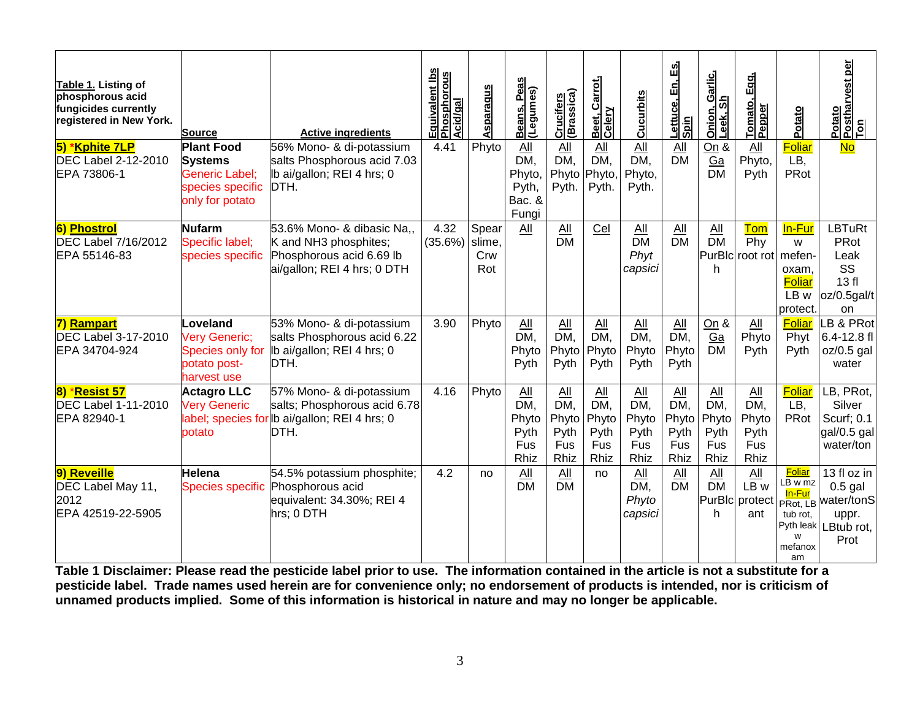| Table 1. Listing of<br>phosphorous acid<br>fungicides currently<br>registered in New York. | <b>Source</b>                                                                                | <b>Active ingredients</b>                                                                                         | Equivalent Ibs<br>Phosphorous<br>Acid/gal | Asparagus                     | Beans, Peas<br>(Legumes)                                | Crucifers<br>(Brassica)                    | <u>Beet, Carrot,</u><br>Celery                     | <b>Cucurbits</b>                                  | <u>යි</u><br><u>Lettuce, En,</u><br>S <u>pin</u> | <u>n, Garlic,</u><br>Sh<br>Onion,<br>Leek, | Egg.<br>Tomato,<br>Pepper                               | Potato                                                               | Potato<br>Postharvest per<br><u>Ton</u>                                                         |
|--------------------------------------------------------------------------------------------|----------------------------------------------------------------------------------------------|-------------------------------------------------------------------------------------------------------------------|-------------------------------------------|-------------------------------|---------------------------------------------------------|--------------------------------------------|----------------------------------------------------|---------------------------------------------------|--------------------------------------------------|--------------------------------------------|---------------------------------------------------------|----------------------------------------------------------------------|-------------------------------------------------------------------------------------------------|
| 5) *Kphite 7LP<br><b>DEC Label 2-12-2010</b><br>EPA 73806-1                                | <b>Plant Food</b><br><b>Systems</b><br>Generic Label;<br>species specific<br>only for potato | 56% Mono- & di-potassium<br>salts Phosphorous acid 7.03<br>Ib ai/gallon; REI 4 hrs; 0<br>DTH.                     | 4.41                                      | Phyto                         | All<br>DM.<br>Phyto,<br>Pyth,<br>Bac. &<br>Fungi        | All<br>DM,<br>Phyto<br>Pyth.               | All<br>DM,<br>Phyto,<br>Pyth.                      | All<br>DM,<br>Phyto,<br>Pyth.                     | All<br><b>DM</b>                                 | On &<br>Ga<br><b>DM</b>                    | $\underline{All}$<br>Phyto,<br>Pyth                     | Foliar<br>LB.<br>PRot                                                | <b>No</b>                                                                                       |
| <b>6) Phostrol</b><br><b>DEC Label 7/16/2012</b><br>EPA 55146-83                           | <b>Nufarm</b><br>Specific label;<br>species specific                                         | 53.6% Mono- & dibasic Na<br>K and NH3 phosphites;<br>Phosphorous acid 6.69 lb<br>ai/gallon; REI 4 hrs; 0 DTH      | 4.32<br>(35.6%)                           | Spear<br>slime,<br>Crw<br>Rot | All                                                     | All<br>$\overline{DM}$                     | Cel                                                | $\Delta$ ll<br>$\overline{DM}$<br>Phyt<br>capsici | All<br><b>DM</b>                                 | $\underline{All}$<br>$\overline{DM}$<br>h  | Tom<br>Phv<br>PurBIc root rot mefen-                    | In-Fur<br>W<br>oxam,<br>Foliar<br>LB w<br>protect.                   | <b>LBTuRt</b><br>PRot<br>Leak<br>SS<br>13f<br>oz/0.5gal/t<br>on                                 |
| 7) Rampart<br><b>DEC Label 3-17-2010</b><br>EPA 34704-924                                  | Loveland<br>Very Generic;<br>Species only for<br>potato post-<br>harvest use                 | 53% Mono- & di-potassium<br>salts Phosphorous acid 6.22<br>Ib ai/gallon; REI 4 hrs; 0<br>DTH.                     | 3.90                                      | Phyto                         | $\underline{All}$<br>DM,<br>Phyto<br>Pyth               | $\underline{All}$<br>DM,<br>Phyto<br>Pyth  | $\underline{All}$<br>DM,<br>Phyto<br>Pyth          | $\underline{All}$<br>DM,<br>Phyto<br>Pyth         | $\underline{All}$<br>DM,<br>Phyto<br>Pyth        | On &<br>Ga<br><b>DM</b>                    | $\underline{AII}$<br>Phyto<br>Pyth                      | <b>Foliar</b><br>Phyt<br>Pyth                                        | LB & PRot<br>6.4-12.8 fl<br>oz/0.5 gal<br>water                                                 |
| 8) *Resist 57<br><b>DEC Label 1-11-2010</b><br>EPA 82940-1                                 | <b>Actagro LLC</b><br><b>Very Generic</b><br>potato                                          | 57% Mono- & di-potassium<br>salts; Phosphorous acid 6.78<br>label; species for lb ai/gallon; REI 4 hrs; 0<br>DTH. | 4.16                                      | Phyto                         | $\overline{All}$<br>DM,<br>Phyto<br>Pyth<br>Fus<br>Rhiz | All<br>DM,<br>Phyto<br>Pyth<br>Fus<br>Rhiz | $\Delta$ II<br>DM,<br>Phyto<br>Pyth<br>Fus<br>Rhiz | All<br>DM,<br>Phyto<br>Pyth<br>Fus<br>Rhiz        | All<br>DM,<br>Phyto<br>Pyth<br>Fus<br>Rhiz       | All<br>DM,<br>Phyto<br>Pyth<br>Fus<br>Rhiz | $\overline{All}$<br>DM,<br>Phyto<br>Pyth<br>Fus<br>Rhiz | Foliar<br>LB,<br>PRot                                                | LB, PRot,<br>Silver<br>Scurf; 0.1<br>gal/0.5 gal<br>water/ton                                   |
| 9) Reveille<br>DEC Label May 11,<br>2012<br>EPA 42519-22-5905                              | <b>Helena</b><br>Species specific                                                            | 54.5% potassium phosphite;<br>Phosphorous acid<br>equivalent: 34.30%; REI 4<br>hrs; 0 DTH                         | 4.2                                       | no                            | AII<br><b>DM</b>                                        | All<br><b>DM</b>                           | no                                                 | All<br>DM,<br>Phyto<br>capsici                    | All<br><b>DM</b>                                 | All<br><b>DM</b><br>h                      | AII<br>LB w<br>PurBlc protect<br>ant                    | <b>Foliar</b><br>LB w mz<br>In-Fur<br>tub rot.<br>W<br>mefanox<br>am | 13 fl oz in<br>$0.5$ gal<br><b>PRot, LB</b> water/tonS<br>uppr.<br>Pyth leak LBtub rot,<br>Prot |

**Table 1 Disclaimer: Please read the pesticide label prior to use. The information contained in the article is not a substitute for a pesticide label. Trade names used herein are for convenience only; no endorsement of products is intended, nor is criticism of unnamed products implied. Some of this information is historical in nature and may no longer be applicable.**